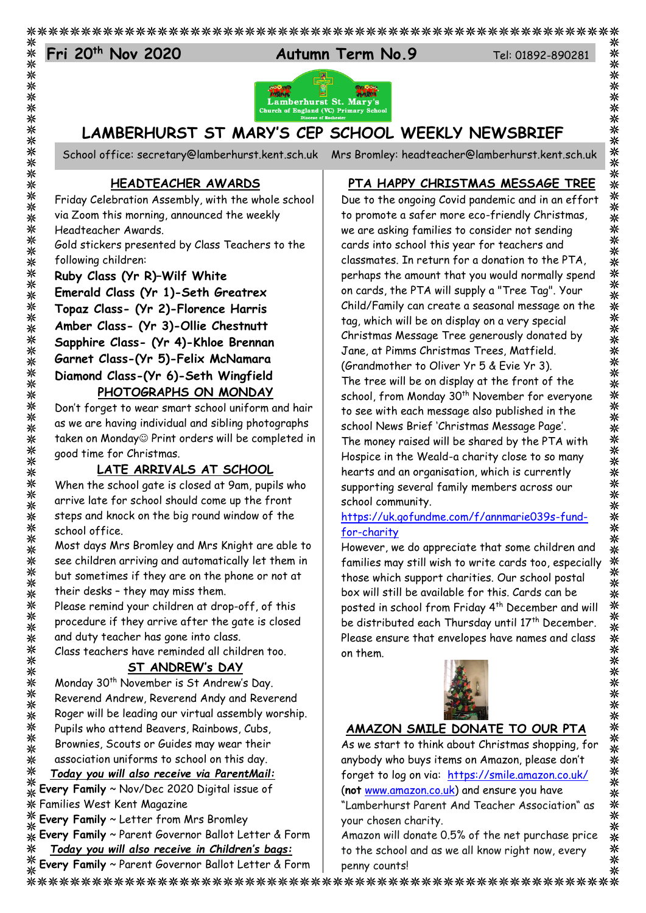# Fri 20<sup>th</sup> Nov 2020

⋇





# **LAMBERHURST ST MARY'S CEP SCHOOL WEEKLY NEWSBRIEF**

School office: [secretary@lamberhurst.kent.sch.uk](mailto:secretary@lamberhurst.kent.sch.uk) Mrs Bromley: headteacher@lamberhurst.kent.sch.uk

## **PTA HAPPY CHRISTMAS MESSAGE TREE**

Friday Celebration Assembly, with the whole school via Zoom this morning, announced the weekly Headteacher Awards.

**HEADTEACHER AWARDS**

Gold stickers presented by Class Teachers to the following children:

**Ruby Class (Yr R)–Wilf White**

**Emerald Class (Yr 1)-Seth Greatrex Topaz Class- (Yr 2)-Florence Harris Amber Class- (Yr 3)-Ollie Chestnutt Sapphire Class- (Yr 4)-Khloe Brennan Garnet Class-(Yr 5)-Felix McNamara Diamond Class-(Yr 6)-Seth Wingfield PHOTOGRAPHS ON MONDAY**

#### Don't forget to wear smart school uniform and hair as we are having individual and sibling photographs taken on Monday<sup>®</sup> Print orders will be completed in good time for Christmas.

## **LATE ARRIVALS AT SCHOOL**

When the school gate is closed at 9am, pupils who arrive late for school should come up the front steps and knock on the big round window of the school office.

Most days Mrs Bromley and Mrs Knight are able to see children arriving and automatically let them in but sometimes if they are on the phone or not at their desks – they may miss them.

Please remind your children at drop-off, of this procedure if they arrive after the gate is closed and duty teacher has gone into class.

Class teachers have reminded all children too.

### **ST ANDREW's DAY**

Monday 30<sup>th</sup> November is St Andrew's Day. Reverend Andrew, Reverend Andy and Reverend Roger will be leading our virtual assembly worship. Pupils who attend Beavers, Rainbows, Cubs, Brownies, Scouts or Guides may wear their association uniforms to school on this day.

*Today you will also receive via ParentMail:* 米

**Every Family** ~ Nov/Dec 2020 Digital issue of ⊰ٰ⊱ Families West Kent Magazine

**Every Family** ~ Letter from Mrs Bromley 兴

**Every Family** ~ Parent Governor Ballot Letter & Form 米 *Today you will also receive in Children's bags:*

米 **Every Family** ~ Parent Governor Ballot Letter & Form

Due to the ongoing Covid pandemic and in an effort to promote a safer more eco-friendly Christmas, we are asking families to consider not sending cards into school this year for teachers and classmates. In return for a donation to the PTA, perhaps the amount that you would normally spend on cards, the PTA will supply a "Tree Tag". Your Child/Family can create a seasonal message on the tag, which will be on display on a very special Christmas Message Tree generously donated by Jane, at Pimms Christmas Trees, Matfield. (Grandmother to Oliver Yr 5 & Evie Yr 3). The tree will be on display at the front of the school, from Monday 30<sup>th</sup> November for everyone to see with each message also published in the school News Brief 'Christmas Message Page'. The money raised will be shared by the PTA with Hospice in the Weald-a charity close to so many hearts and an organisation, which is currently supporting several family members across our school community.

#### [https://uk.gofundme.com/f/annmarie039s-fund](https://uk.gofundme.com/f/annmarie039s-fund-for-charity)[for-charity](https://uk.gofundme.com/f/annmarie039s-fund-for-charity)

However, we do appreciate that some children and families may still wish to write cards too, especially those which support charities. Our school postal box will still be available for this. Cards can be posted in school from Friday 4th December and will be distributed each Thursday until 17<sup>th</sup> December. Please ensure that envelopes have names and class on them.



# **AMAZON SMILE DONATE TO OUR PTA**

As we start to think about Christmas shopping, for anybody who buys items on Amazon, please don't forget to log on via: https://smile.amazon.co.uk/ (**not** [www.amazon.co.uk\)](http://www.amazon.co.uk/) and ensure you have

"Lamberhurst Parent And Teacher Association" as your chosen charity.

Amazon will donate 0.5% of the net purchase price to the school and as we all know right now, every penny counts!